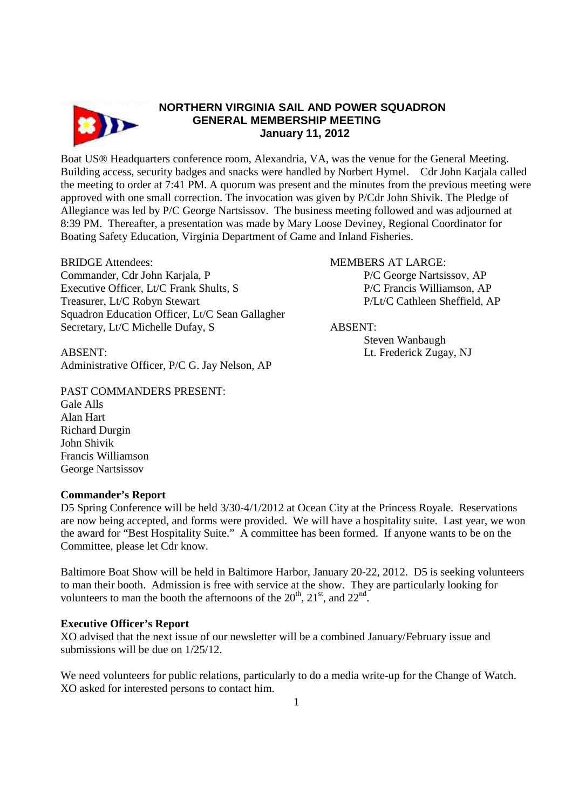

# **NORTHERN VIRGINIA SAIL AND POWER SQUADRON GENERAL MEMBERSHIP MEETING January 11, 2012**

Boat US® Headquarters conference room, Alexandria, VA, was the venue for the General Meeting. Building access, security badges and snacks were handled by Norbert Hymel. Cdr John Karjala called the meeting to order at 7:41 PM. A quorum was present and the minutes from the previous meeting were approved with one small correction. The invocation was given by P/Cdr John Shivik. The Pledge of Allegiance was led by P/C George Nartsissov. The business meeting followed and was adjourned at 8:39 PM. Thereafter, a presentation was made by Mary Loose Deviney, Regional Coordinator for Boating Safety Education, Virginia Department of Game and Inland Fisheries.

Commander, Cdr John Karjala, P P/C George Nartsissov, AP Executive Officer, Lt/C Frank Shults, S The P/C Francis Williamson, AP Treasurer, Lt/C Robyn Stewart P/Lt/C Cathleen Sheffield, AP Squadron Education Officer, Lt/C Sean Gallagher Secretary, Lt/C Michelle Dufay, S<br>ABSENT:

ABSENT: Let. Frederick Zugay, NJ Administrative Officer, P/C G. Jay Nelson, AP

PAST COMMANDERS PRESENT:

Gale Alls Alan Hart Richard Durgin John Shivik Francis Williamson George Nartsissov

## **Commander's Report**

D5 Spring Conference will be held 3/30-4/1/2012 at Ocean City at the Princess Royale. Reservations are now being accepted, and forms were provided. We will have a hospitality suite. Last year, we won the award for "Best Hospitality Suite." A committee has been formed. If anyone wants to be on the Committee, please let Cdr know.

Baltimore Boat Show will be held in Baltimore Harbor, January 20-22, 2012. D5 is seeking volunteers to man their booth. Admission is free with service at the show. They are particularly looking for volunteers to man the booth the afternoons of the  $20^{th}$ ,  $21^{st}$ , and  $22^{nd}$ .

# **Executive Officer's Report**

XO advised that the next issue of our newsletter will be a combined January/February issue and submissions will be due on 1/25/12.

We need volunteers for public relations, particularly to do a media write-up for the Change of Watch. XO asked for interested persons to contact him.

# BRIDGE Attendees: MEMBERS AT LARGE:

Steven Wanbaugh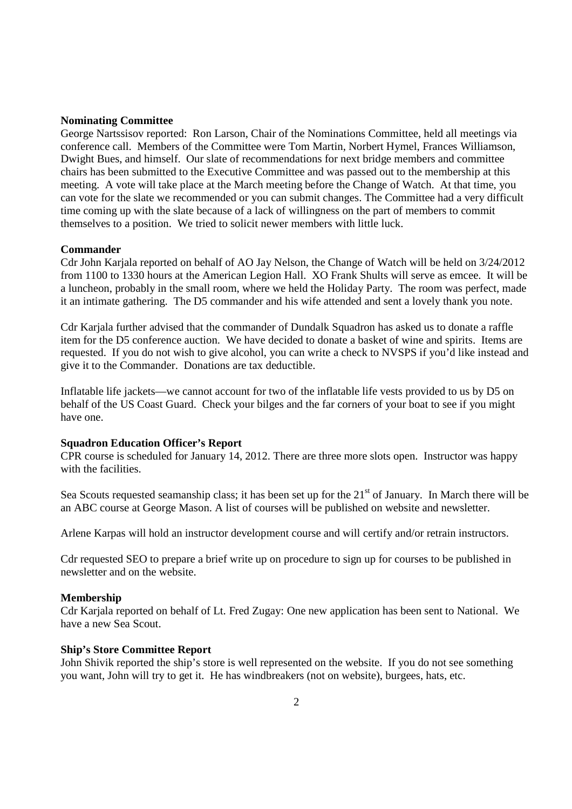### **Nominating Committee**

George Nartssisov reported: Ron Larson, Chair of the Nominations Committee, held all meetings via conference call. Members of the Committee were Tom Martin, Norbert Hymel, Frances Williamson, Dwight Bues, and himself. Our slate of recommendations for next bridge members and committee chairs has been submitted to the Executive Committee and was passed out to the membership at this meeting. A vote will take place at the March meeting before the Change of Watch. At that time, you can vote for the slate we recommended or you can submit changes. The Committee had a very difficult time coming up with the slate because of a lack of willingness on the part of members to commit themselves to a position. We tried to solicit newer members with little luck.

## **Commander**

Cdr John Karjala reported on behalf of AO Jay Nelson, the Change of Watch will be held on 3/24/2012 from 1100 to 1330 hours at the American Legion Hall. XO Frank Shults will serve as emcee. It will be a luncheon, probably in the small room, where we held the Holiday Party. The room was perfect, made it an intimate gathering. The D5 commander and his wife attended and sent a lovely thank you note.

Cdr Karjala further advised that the commander of Dundalk Squadron has asked us to donate a raffle item for the D5 conference auction. We have decided to donate a basket of wine and spirits. Items are requested. If you do not wish to give alcohol, you can write a check to NVSPS if you'd like instead and give it to the Commander. Donations are tax deductible.

Inflatable life jackets—we cannot account for two of the inflatable life vests provided to us by D5 on behalf of the US Coast Guard. Check your bilges and the far corners of your boat to see if you might have one.

#### **Squadron Education Officer's Report**

CPR course is scheduled for January 14, 2012. There are three more slots open. Instructor was happy with the facilities.

Sea Scouts requested seamanship class; it has been set up for the  $21<sup>st</sup>$  of January. In March there will be an ABC course at George Mason. A list of courses will be published on website and newsletter.

Arlene Karpas will hold an instructor development course and will certify and/or retrain instructors.

Cdr requested SEO to prepare a brief write up on procedure to sign up for courses to be published in newsletter and on the website.

#### **Membership**

Cdr Karjala reported on behalf of Lt. Fred Zugay: One new application has been sent to National. We have a new Sea Scout.

#### **Ship's Store Committee Report**

John Shivik reported the ship's store is well represented on the website. If you do not see something you want, John will try to get it. He has windbreakers (not on website), burgees, hats, etc.